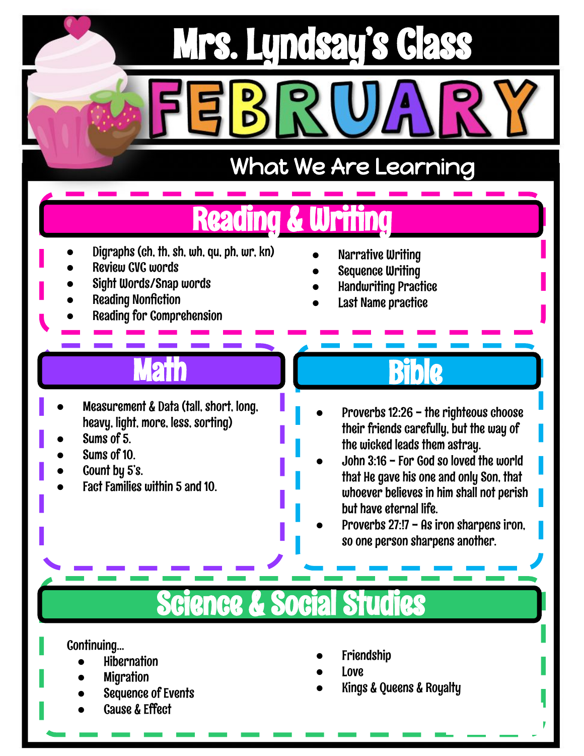